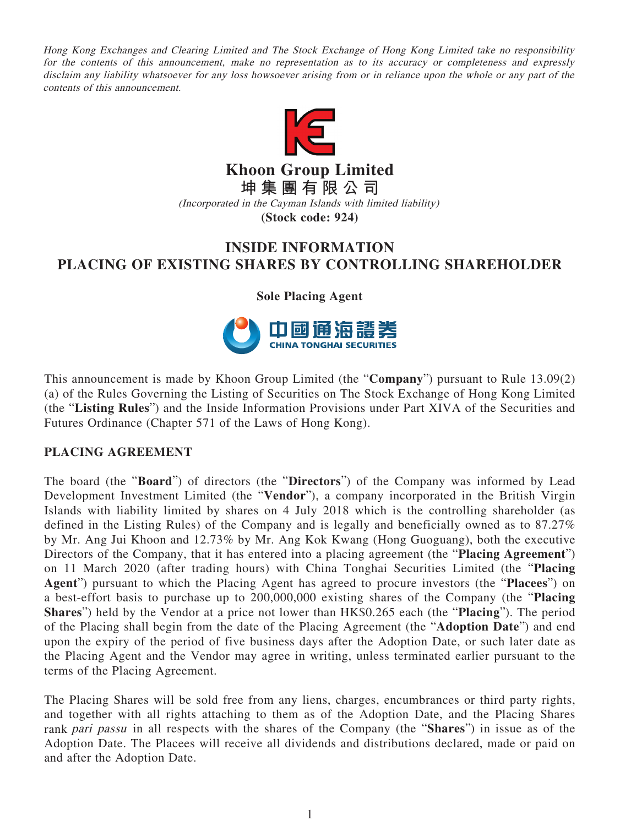Hong Kong Exchanges and Clearing Limited and The Stock Exchange of Hong Kong Limited take no responsibility for the contents of this announcement, make no representation as to its accuracy or completeness and expressly disclaim any liability whatsoever for any loss howsoever arising from or in reliance upon the whole or any part of the contents of this announcement.



**Khoon Group Limited 坤集團有限公司**

(Incorporated in the Cayman Islands with limited liability)

## **(Stock code: 924)**

## **INSIDE INFORMATION PLACING OF EXISTING SHARES BY CONTROLLING SHAREHOLDER**

**Sole Placing Agent**



This announcement is made by Khoon Group Limited (the "**Company**") pursuant to Rule 13.09(2) (a) of the Rules Governing the Listing of Securities on The Stock Exchange of Hong Kong Limited (the "**Listing Rules**") and the Inside Information Provisions under Part XIVA of the Securities and Futures Ordinance (Chapter 571 of the Laws of Hong Kong).

## **PLACING AGREEMENT**

The board (the "**Board**") of directors (the "**Directors**") of the Company was informed by Lead Development Investment Limited (the "**Vendor**"), a company incorporated in the British Virgin Islands with liability limited by shares on 4 July 2018 which is the controlling shareholder (as defined in the Listing Rules) of the Company and is legally and beneficially owned as to 87.27% by Mr. Ang Jui Khoon and 12.73% by Mr. Ang Kok Kwang (Hong Guoguang), both the executive Directors of the Company, that it has entered into a placing agreement (the "**Placing Agreement**") on 11 March 2020 (after trading hours) with China Tonghai Securities Limited (the "**Placing Agent**") pursuant to which the Placing Agent has agreed to procure investors (the "**Placees**") on a best-effort basis to purchase up to 200,000,000 existing shares of the Company (the "**Placing Shares**") held by the Vendor at a price not lower than HK\$0.265 each (the "**Placing**"). The period of the Placing shall begin from the date of the Placing Agreement (the "**Adoption Date**") and end upon the expiry of the period of five business days after the Adoption Date, or such later date as the Placing Agent and the Vendor may agree in writing, unless terminated earlier pursuant to the terms of the Placing Agreement.

The Placing Shares will be sold free from any liens, charges, encumbrances or third party rights, and together with all rights attaching to them as of the Adoption Date, and the Placing Shares rank pari passu in all respects with the shares of the Company (the "**Shares**") in issue as of the Adoption Date. The Placees will receive all dividends and distributions declared, made or paid on and after the Adoption Date.